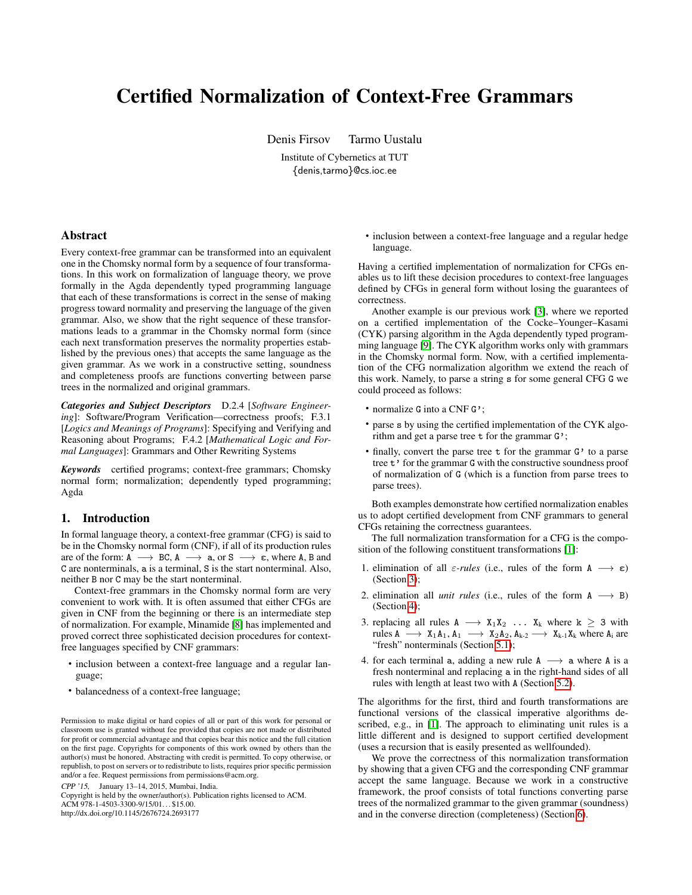# Certified Normalization of Context-Free Grammars

Denis Firsov Tarmo Uustalu

Institute of Cybernetics at TUT {denis,tarmo}@cs.ioc.ee

## Abstract

Every context-free grammar can be transformed into an equivalent one in the Chomsky normal form by a sequence of four transformations. In this work on formalization of language theory, we prove formally in the Agda dependently typed programming language that each of these transformations is correct in the sense of making progress toward normality and preserving the language of the given grammar. Also, we show that the right sequence of these transformations leads to a grammar in the Chomsky normal form (since each next transformation preserves the normality properties established by the previous ones) that accepts the same language as the given grammar. As we work in a constructive setting, soundness and completeness proofs are functions converting between parse trees in the normalized and original grammars.

*Categories and Subject Descriptors* D.2.4 [*Software Engineering*]: Software/Program Verification—correctness proofs; F.3.1 [*Logics and Meanings of Programs*]: Specifying and Verifying and Reasoning about Programs; F.4.2 [*Mathematical Logic and Formal Languages*]: Grammars and Other Rewriting Systems

*Keywords* certified programs; context-free grammars; Chomsky normal form; normalization; dependently typed programming; Agda

## 1. Introduction

In formal language theory, a context-free grammar (CFG) is said to be in the Chomsky normal form (CNF), if all of its production rules are of the form:  $A \longrightarrow BC$ ,  $A \longrightarrow a$ , or  $S \longrightarrow \varepsilon$ , where A, B and C are nonterminals, a is a terminal, S is the start nonterminal. Also, neither B nor C may be the start nonterminal.

Context-free grammars in the Chomsky normal form are very convenient to work with. It is often assumed that either CFGs are given in CNF from the beginning or there is an intermediate step of normalization. For example, Minamide [\[8\]](#page-7-0) has implemented and proved correct three sophisticated decision procedures for contextfree languages specified by CNF grammars:

- inclusion between a context-free language and a regular language;
- balancedness of a context-free language;

Permission to make digital or hard copies of all or part of this work for personal or classroom use is granted without fee provided that copies are not made or distributed for profit or commercial advantage and that copies bear this notice and the full citation on the first page. Copyrights for components of this work owned by others than the author(s) must be honored. Abstracting with credit is permitted. To copy otherwise, or republish, to post on servers or to redistribute to lists, requires prior specific permission and/or a fee. Request permissions from permissions@acm.org.

CPP '15, January 13–14, 2015, Mumbai, India.

Copyright is held by the owner/author(s). Publication rights licensed to ACM. ACM 978-1-4503-3300-9/15/01... \$15.00. http://dx.doi.org/10.1145/2676724.2693177

• inclusion between a context-free language and a regular hedge language.

Having a certified implementation of normalization for CFGs enables us to lift these decision procedures to context-free languages defined by CFGs in general form without losing the guarantees of correctness.

Another example is our previous work [\[3\]](#page-7-1), where we reported on a certified implementation of the Cocke–Younger–Kasami (CYK) parsing algorithm in the Agda dependently typed programming language [\[9\]](#page-7-2). The CYK algorithm works only with grammars in the Chomsky normal form. Now, with a certified implementation of the CFG normalization algorithm we extend the reach of this work. Namely, to parse a string s for some general CFG G we could proceed as follows:

- normalize G into a CNF G';
- parse s by using the certified implementation of the CYK algorithm and get a parse tree t for the grammar G';
- finally, convert the parse tree t for the grammar G' to a parse tree t' for the grammar G with the constructive soundness proof of normalization of G (which is a function from parse trees to parse trees).

Both examples demonstrate how certified normalization enables us to adopt certified development from CNF grammars to general CFGs retaining the correctness guarantees.

The full normalization transformation for a CFG is the composition of the following constituent transformations [\[1\]](#page-7-3):

- 1. elimination of all  $\varepsilon$ -rules (i.e., rules of the form  $A \rightarrow \varepsilon$ ) (Section [3\)](#page-1-0);
- 2. elimination all *unit rules* (i.e., rules of the form  $A \rightarrow B$ ) (Section [4\)](#page-3-0);
- 3. replacing all rules  $A \longrightarrow X_1 X_2 \dots X_k$  where  $k \geq 3$  with rules  $A \longrightarrow X_1A_1, A_1 \longrightarrow X_2A_2, A_{k-2} \longrightarrow X_{k-1}X_k$  where  $A_i$  are "fresh" nonterminals (Section [5.1\)](#page-5-0);
- 4. for each terminal a, adding a new rule  $A \rightarrow \infty$  where A is a fresh nonterminal and replacing a in the right-hand sides of all rules with length at least two with A (Section [5.2\)](#page-5-1).

The algorithms for the first, third and fourth transformations are functional versions of the classical imperative algorithms described, e.g., in [\[1\]](#page-7-3). The approach to eliminating unit rules is a little different and is designed to support certified development (uses a recursion that is easily presented as wellfounded).

We prove the correctness of this normalization transformation by showing that a given CFG and the corresponding CNF grammar accept the same language. Because we work in a constructive framework, the proof consists of total functions converting parse trees of the normalized grammar to the given grammar (soundness) and in the converse direction (completeness) (Section [6\)](#page-6-0).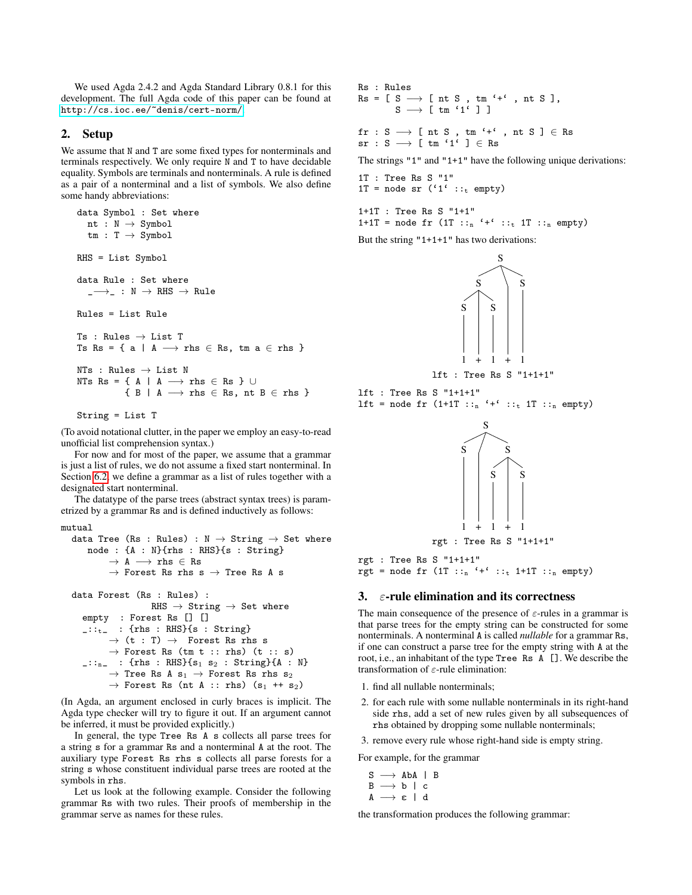We used Agda 2.4.2 and Agda Standard Library 0.8.1 for this development. The full Agda code of this paper can be found at <http://cs.ioc.ee/~denis/cert-norm/>.

## 2. Setup

We assume that N and T are some fixed types for nonterminals and terminals respectively. We only require N and T to have decidable equality. Symbols are terminals and nonterminals. A rule is defined as a pair of a nonterminal and a list of symbols. We also define some handy abbreviations:

```
data Symbol : Set where
  nt : N \rightarrow Symboltm : T \rightarrow SymbolRHS = List Symbol
data Rule : Set where
   \_\rightarrow\_\ : N \rightarrow RHS \rightarrow Rule
Rules = List Rule
Ts : Rules \rightarrow List T
Ts Rs = { a | A \longrightarrow rhs \in Rs, tm a \in rhs }
NTs : Rules \rightarrow List N
NTs Rs = { A | A \longrightarrow rhs \in Rs } ∪
             \{ B \mid A \longrightarrow \text{rhs} \in \text{Rs}, \text{ nt } B \in \text{rhs } \}
```
String = List T

(To avoid notational clutter, in the paper we employ an easy-to-read unofficial list comprehension syntax.)

For now and for most of the paper, we assume that a grammar is just a list of rules, we do not assume a fixed start nonterminal. In Section [6.2,](#page-6-1) we define a grammar as a list of rules together with a designated start nonterminal.

The datatype of the parse trees (abstract syntax trees) is parametrized by a grammar Rs and is defined inductively as follows:

## mutual

```
data Tree (Rs : Rules) : N \rightarrow String \rightarrow Set where
    node : {A : N}{rhs : RHS}{s : String}
          \rightarrow A \rightarrow rhs \in Rs
          \rightarrow Forest Rs rhs s \rightarrow Tree Rs A s
data Forest (Rs : Rules) :
                     RHS \rightarrow String \rightarrow Set where
   empty : Forest Rs [] []
   \_::_{t-} : {rhs : RHS}{s : String}
          \rightarrow (t : T) \rightarrow Forest Rs rhs s
          \rightarrow Forest Rs (tm t :: rhs) (t :: s)
   \lrcorner:_{n-} : {rhs : RHS}{s<sub>1</sub> s<sub>2</sub> : String}{A : N}
          \rightarrow Tree Rs A s<sub>1</sub> \rightarrow Forest Rs rhs s<sub>2</sub>
```
 $\rightarrow$  Forest Rs (nt A :: rhs) (s<sub>1</sub> ++ s<sub>2</sub>)

(In Agda, an argument enclosed in curly braces is implicit. The Agda type checker will try to figure it out. If an argument cannot be inferred, it must be provided explicitly.)

In general, the type Tree Rs A s collects all parse trees for a string s for a grammar Rs and a nonterminal A at the root. The auxiliary type Forest Rs rhs s collects all parse forests for a string s whose constituent individual parse trees are rooted at the symbols in rhs.

Let us look at the following example. Consider the following grammar Rs with two rules. Their proofs of membership in the grammar serve as names for these rules.

Rs : Rules  $Rs = [ S \longrightarrow [ nt S , tm '+' , nt S ],$  $S \longrightarrow [$  tm '1' ] ]

$$
\begin{array}{l}\n\texttt{fr}: S \longrightarrow [\texttt{nt} S, \texttt{tm} ' + ^t , \texttt{nt} S] \in \mathtt{Rs} \\
\texttt{sr}: S \longrightarrow [\texttt{tm} '1' ] \in \mathtt{Rs}\n\end{array}
$$

The strings "1" and "1+1" have the following unique derivations:

1T : Tree Rs S "1"  $1T = node sr (1' :: t empty)$ 

1+1T : Tree Rs S "1+1"  $1+1T$  = node fr  $(1T ::_n ' + ' ::_t 1T ::_n empty)$ 

But the string "1+1+1" has two derivations:





lft : Tree Rs S "1+1+1" lft = node fr  $(1+1T :: n ' + ' :: t 1T :: n empty)$ 



rgt : Tree Rs S "1+1+1" rgt = node fr  $(1T :: n ' + ' :: t 1+1T :: n empty)$ 

## <span id="page-1-0"></span>3.  $\varepsilon$ -rule elimination and its correctness

The main consequence of the presence of  $\varepsilon$ -rules in a grammar is that parse trees for the empty string can be constructed for some nonterminals. A nonterminal A is called *nullable* for a grammar Rs, if one can construct a parse tree for the empty string with A at the root, i.e., an inhabitant of the type Tree Rs A []. We describe the transformation of  $\varepsilon$ -rule elimination:

- 1. find all nullable nonterminals;
- 2. for each rule with some nullable nonterminals in its right-hand side rhs, add a set of new rules given by all subsequences of rhs obtained by dropping some nullable nonterminals;
- 3. remove every rule whose right-hand side is empty string.

For example, for the grammar

| $S \longrightarrow AbA \mid B$ |  |  |  |  |
|--------------------------------|--|--|--|--|
| $B \longrightarrow b \mid c$   |  |  |  |  |
| $A \longrightarrow \epsilon$ d |  |  |  |  |

the transformation produces the following grammar: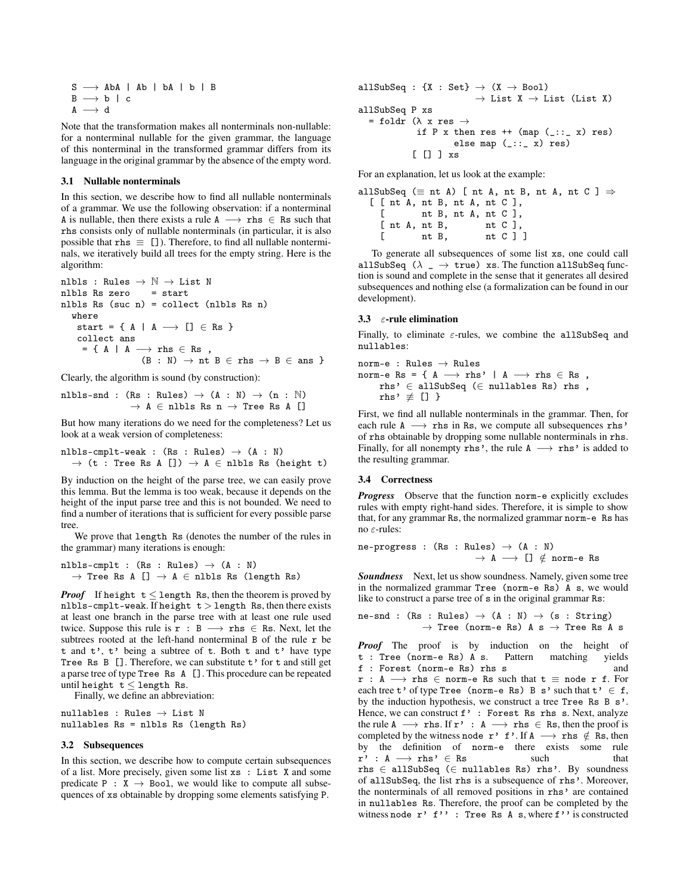$S \longrightarrow AbA$  | Ab | bA | b | B  $B \longrightarrow b \mid c$  $A \longrightarrow A$ 

Note that the transformation makes all nonterminals non-nullable: for a nonterminal nullable for the given grammar, the language of this nonterminal in the transformed grammar differs from its language in the original grammar by the absence of the empty word.

## 3.1 Nullable nonterminals

In this section, we describe how to find all nullable nonterminals of a grammar. We use the following observation: if a nonterminal A is nullable, then there exists a rule  $A \rightarrow \text{rhs} \in \text{Rs}$  such that rhs consists only of nullable nonterminals (in particular, it is also possible that  $\text{rhs} \equiv []$ ). Therefore, to find all nullable nonterminals, we iteratively build all trees for the empty string. Here is the algorithm:

```
nlbls : Rules \rightarrow N \rightarrow List N
nlbls Rs zero = start
nlbls Rs (suc n) = collect (nlbls Rs n)
  where
    start = { A | A \rightarrow [] \in Rs }
    collect ans
     = \{ A \mid A \longrightarrow \text{rhs} \in \text{Rs} \},(B : N) \rightarrow nt B \in rhs \rightarrow B \in ans }
```
Clearly, the algorithm is sound (by construction):

$$
\begin{array}{lcl} \texttt{nlbls-snd} : \ (\texttt{Rs}: \texttt{Rules}) \, \rightarrow \ (\texttt{A}: \texttt{N}) \, \rightarrow \ (\texttt{n}: \texttt{N}) \\ \quad \rightarrow \ \texttt{A} \, \in \ \texttt{nlbls} \ \texttt{Rs} \ \texttt{n} \, \rightarrow \ \texttt{Tree} \ \texttt{Rs} \ \texttt{A} \ \texttt{[]} \end{array}
$$

But how many iterations do we need for the completeness? Let us look at a weak version of completeness:

nlbls-cmplt-weak :  $(Rs : Rules) \rightarrow (A : N)$  $\rightarrow$  (t : Tree Rs A [])  $\rightarrow$  A  $\in$  nlbls Rs (height t)

By induction on the height of the parse tree, we can easily prove this lemma. But the lemma is too weak, because it depends on the height of the input parse tree and this is not bounded. We need to find a number of iterations that is sufficient for every possible parse tree.

We prove that length Rs (denotes the number of the rules in the grammar) many iterations is enough:

nlbls-cmplt :  $(Rs : Rules) \rightarrow (A : N)$  $\rightarrow$  Tree Rs A []  $\rightarrow$  A  $\in$  nlbls Rs (length Rs)

*Proof* If height  $t \leq$  length Rs, then the theorem is proved by nlbls-cmplt-weak. If height  $t >$  length Rs, then there exists at least one branch in the parse tree with at least one rule used twice. Suppose this rule is  $r : B \longrightarrow r$ hs ∈ Rs. Next, let the subtrees rooted at the left-hand nonterminal B of the rule r be t and t', t' being a subtree of t. Both t and t' have type Tree Rs B []. Therefore, we can substitute t' for t and still get a parse tree of type Tree Rs A []. This procedure can be repeated until height  $t \leq$  length Rs.

Finally, we define an abbreviation:

```
nullables : Rules \rightarrow List N
nullables Rs = nlbls Rs (length Rs)
```
#### 3.2 Subsequences

In this section, we describe how to compute certain subsequences of a list. More precisely, given some list xs : List X and some predicate P :  $X \rightarrow$  Bool, we would like to compute all subsequences of xs obtainable by dropping some elements satisfying P.

```
\mathtt{al}1\mathtt{SubSeq}\ :\ \{\mathtt{X}\ :\ \mathtt{Set}\}\ \rightarrow\ (\mathtt{X}\ \rightarrow\ \mathtt{Bool})\rightarrow List X \rightarrow List (List X)
allSubSeq P xs
   = foldr (\lambda x res \rightarrowif P x then res ++ (map (_::_ x) res)
                               else map (\_\colon\_\ x) res)
                 [ [] ] xs
```
For an explanation, let us look at the example:

allSubSeq (≡ nt A) [ nt A, nt B, nt A, nt C ] ⇒ [ [ nt A, nt B, nt A, nt C ], [ nt B, nt A, nt C ], [ nt A, nt B, nt C ], [ nt B, nt C ] ]

To generate all subsequences of some list xs, one could call allSubSeq ( $\lambda$   $\rightarrow$  true) xs. The function allSubSeq function is sound and complete in the sense that it generates all desired subsequences and nothing else (a formalization can be found in our development).

## 3.3  $\varepsilon$ -rule elimination

Finally, to eliminate  $\varepsilon$ -rules, we combine the allSubSeq and nullables:

norm-e : Rules  $\rightarrow$  Rules norm-e Rs = {  $A \rightarrow \text{rhs'}$  |  $A \rightarrow \text{rhs} \in \text{Rs}$  , rhs' ∈ allSubSeq (∈ nullables Rs) rhs , rhs'  $\neq$  [] }

First, we find all nullable nonterminals in the grammar. Then, for each rule  $A \rightarrow$  rhs in Rs, we compute all subsequences rhs' of rhs obtainable by dropping some nullable nonterminals in rhs. Finally, for all nonempty rhs', the rule  $A \rightarrow$  rhs' is added to the resulting grammar.

#### 3.4 Correctness

*Progress* Observe that the function norm-e explicitly excludes rules with empty right-hand sides. Therefore, it is simple to show that, for any grammar Rs, the normalized grammar norm-e Rs has no ε-rules:

$$
\begin{array}{lcl} \texttt{ne-progress} : (\texttt{Rs} : \texttt{Rules}) \rightarrow (\texttt{A} : \texttt{N}) \\ \rightarrow \texttt{A} \rightarrow \texttt{[]} \notin \texttt{norm-e} \ \texttt{Rs} \end{array}
$$

Soundness Next, let us show soundness. Namely, given some tree in the normalized grammar Tree (norm-e Rs) A s, we would like to construct a parse tree of s in the original grammar Rs:

```
ne-snd : (Rs : Rules) \rightarrow (A : N) \rightarrow (s : String)
                 \rightarrow Tree (norm-e Rs) A s \rightarrow Tree Rs A s
```
*Proof* The proof is by induction on the height of t : Tree (norm-e Rs) A s. Pattern matching yields f : Forest (norm-e Rs) rhs s and  $r : A \longrightarrow r$ hs ∈ norm-e Rs such that  $t \equiv$  node r f. For each tree  $t'$  of type Tree (norm-e Rs) B s' such that  $t' \in f$ , by the induction hypothesis, we construct a tree Tree Rs B s'. Hence, we can construct  $f'$ : Forest Rs rhs s. Next, analyze the rule A  $\rightarrow$  rhs. If r' : A  $\rightarrow$  rhs  $\in$  Rs, then the proof is completed by the witness node r' f'. If A  $\rightarrow$  rhs  $\notin$  Rs, then by the definition of norm-e there exists some rule<br> $r' : A \longrightarrow rhs' \in Rs$  such that  $r' : A \longrightarrow \text{rhs'} \in \text{Rs}$ rhs ∈ allSubSeq (∈ nullables Rs) rhs'. By soundness of allSubSeq, the list rhs is a subsequence of rhs'. Moreover, the nonterminals of all removed positions in rhs' are contained in nullables Rs. Therefore, the proof can be completed by the witness node  $r'$  f'' : Tree Rs A s, where f'' is constructed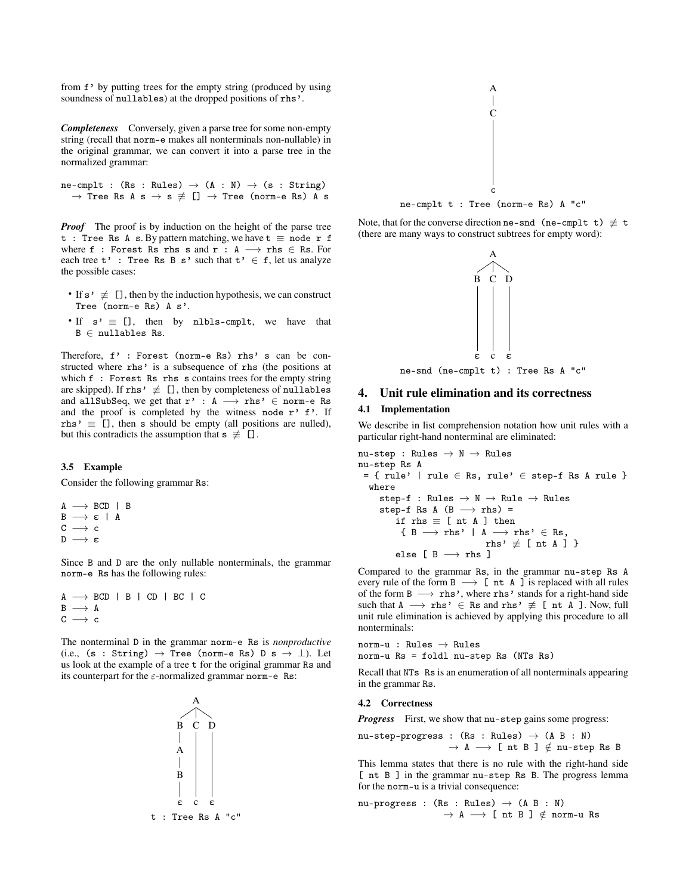from  $f'$  by putting trees for the empty string (produced by using soundness of nullables) at the dropped positions of rhs'.

*Completeness* Conversely, given a parse tree for some non-empty string (recall that norm-e makes all nonterminals non-nullable) in the original grammar, we can convert it into a parse tree in the normalized grammar:

 $ne-cmplt : (Rs : Rules) \rightarrow (A : N) \rightarrow (s : String)$  $\rightarrow$  Tree Rs A s  $\rightarrow$  s  $\not\equiv$  []  $\rightarrow$  Tree (norm-e Rs) A s

*Proof* The proof is by induction on the height of the parse tree t : Tree Rs A s. By pattern matching, we have  $t \equiv$  node r f where f : Forest Rs rhs s and  $r : A \longrightarrow$  rhs  $\in$  Rs. For each tree  $t'$  : Tree Rs B s' such that  $t' \in f$ , let us analyze the possible cases:

- If  $s' \neq []$ , then by the induction hypothesis, we can construct Tree (norm-e Rs) A s'.
- If  $s' \equiv []$ , then by nlbls-cmplt, we have that  $B \in nullables$  Rs.

Therefore, f' : Forest (norm-e Rs) rhs' s can be constructed where rhs' is a subsequence of rhs (the positions at which f: Forest Rs rhs s contains trees for the empty string are skipped). If rhs'  $\neq$  [], then by completeness of nullables and allSubSeq, we get that  $r' : A \longrightarrow \text{rhs'} \in \text{norm-e}$  Rs and the proof is completed by the witness node  $r'$  f'. If rhs'  $\equiv$  [], then s should be empty (all positions are nulled), but this contradicts the assumption that  $s \neq 0$ .

## 3.5 Example

Consider the following grammar Rs:

 $A \longrightarrow BCD \mid B$  $B \longrightarrow ε$  | A  $C \longrightarrow c$  $D \longrightarrow ε$ 

Since B and D are the only nullable nonterminals, the grammar norm-e Rs has the following rules:

```
A \longrightarrow BCD \mid B \mid CD \mid BC \mid CB \longrightarrow AC \rightarrow c
```
The nonterminal D in the grammar norm-e Rs is *nonproductive* (i.e., (s : String)  $\rightarrow$  Tree (norm-e Rs) D s  $\rightarrow \bot$ ). Let us look at the example of a tree t for the original grammar Rs and its counterpart for the  $\varepsilon$ -normalized grammar norm-e Rs:





Note, that for the converse direction ne-snd (ne-cmplt t)  $\neq$  t (there are many ways to construct subtrees for empty word):



ne-snd (ne-cmplt t) : Tree Rs A "c"

## <span id="page-3-0"></span>4. Unit rule elimination and its correctness

## 4.1 Implementation

We describe in list comprehension notation how unit rules with a particular right-hand nonterminal are eliminated:

```
nu-step : Rules \rightarrow N \rightarrow Rules
nu-step Rs A
 = { rule' | rule ∈ Rs, rule' ∈ step-f Rs A rule }
  where
      step-f : Rules \rightarrow N \rightarrow Rule \rightarrow Rules
      step-f Rs A (B \longrightarrow rhs) =
          if rhs \equiv [ nt A ] then
            { \tB \longrightarrow \text{rhs'} \mid A \longrightarrow \text{rhs'} \in \text{Rs}, }rhs' \neq [ nt A ] }
          else [ B \rightarrow rhs ]
```
Compared to the grammar Rs, in the grammar nu-step Rs A every rule of the form  $B \longrightarrow [nt A]$  is replaced with all rules of the form  $B \longrightarrow$  rhs', where rhs' stands for a right-hand side such that  $A \rightarrow \text{rhs'} \in \text{Rs}$  and  $\text{rhs'} \not\equiv [\text{nt } A]$ . Now, full unit rule elimination is achieved by applying this procedure to all nonterminals:

norm-u : Rules  $\rightarrow$  Rules norm-u Rs = foldl nu-step Rs (NTs Rs)

Recall that NTs Rs is an enumeration of all nonterminals appearing in the grammar Rs.

#### 4.2 Correctness

*Progress* First, we show that nu-step gains some progress:

nu-step-progress :  $(Rs : Rules) \rightarrow (A B : N)$  $\rightarrow$  A  $\rightarrow$  [ nt B ]  $\notin$  nu-step Rs B

This lemma states that there is no rule with the right-hand side [  $nt$  B ] in the grammar  $nu$ -step Rs B. The progress lemma for the norm-u is a trivial consequence:

nu-progress :  $(Rs : Rules) \rightarrow (A B : N)$  $\rightarrow$  A  $\rightarrow$  [ nt B ]  $\notin$  norm-u Rs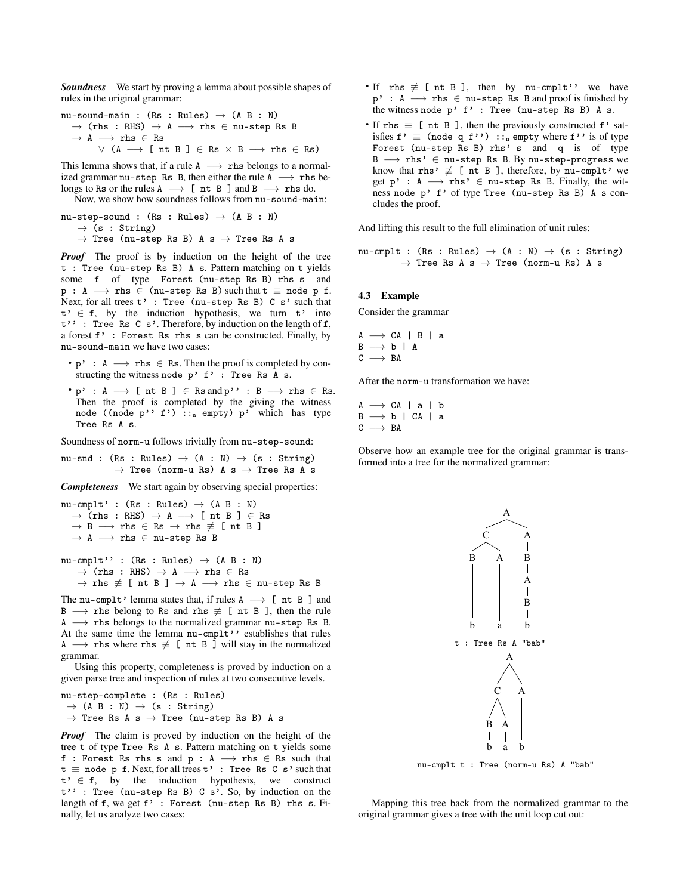*Soundness* We start by proving a lemma about possible shapes of rules in the original grammar:

nu-sound-main :  $(Rs : Rules) \rightarrow (A B : N)$  $\rightarrow$  (rhs : RHS)  $\rightarrow$  A  $\rightarrow$  rhs  $\in$  nu-step Rs B  $\rightarrow$  A  $\rightarrow$  rhs  $\in$  Rs  $\vee$  (A  $\longrightarrow$  [ nt B ]  $\in$  Rs  $\times$  B  $\longrightarrow$  rhs  $\in$  Rs)

This lemma shows that, if a rule  $A \rightarrow$  rhs belongs to a normalized grammar nu-step Rs B, then either the rule  $A \rightarrow$  rhs belongs to Rs or the rules  $A \rightarrow \lbrack$  nt B ] and B  $\rightarrow$  rhs do.

Now, we show how soundness follows from nu-sound-main:

nu-step-sound :  $(Rs : Rules) \rightarrow (A B : N)$  $\rightarrow$  (s : String)  $\rightarrow$  Tree (nu-step Rs B) A s  $\rightarrow$  Tree Rs A s

*Proof* The proof is by induction on the height of the tree t : Tree (nu-step Rs B) A s. Pattern matching on t yields some f of type Forest (nu-step Rs B) rhs s and  $p : A \longrightarrow r$ hs  $\in$  (nu-step Rs B) such that  $t \equiv$  node p f. Next, for all trees  $t'$ : Tree (nu-step Rs B) C s' such that  $t' \in f$ , by the induction hypothesis, we turn  $t'$  into t'' : Tree Rs C s'. Therefore, by induction on the length of f, a forest f' : Forest Rs rhs s can be constructed. Finally, by nu-sound-main we have two cases:

- p' : A  $\rightarrow$  rhs  $\in$  Rs. Then the proof is completed by constructing the witness node p' f' : Tree Rs A s.
- $\cdot$  p' : A  $\longrightarrow$  [nt B ]  $\in$  Rs and p'' : B  $\longrightarrow$  rhs  $\in$  Rs. Then the proof is completed by the giving the witness node ((node  $p'$ ,  $f'$ ) ::<sub>n</sub> empty)  $p'$  which has type Tree Rs A s.

Soundness of norm-u follows trivially from nu-step-sound:

nu-snd : (Rs : Rules)  $\rightarrow$  (A : N)  $\rightarrow$  (s : String)  $\rightarrow$  Tree (norm-u Rs) A s  $\rightarrow$  Tree Rs A s

*Completeness* We start again by observing special properties:

```
nu-cmplt' : (Rs : Rules) \rightarrow (A B : N)
   \rightarrow (rhs : RHS) \rightarrow A \rightarrow [ nt B ] \in Rs
   \rightarrow B \rightarrow rhs \in Rs \rightarrow rhs \not\equiv [ nt B ]
   \rightarrow A \rightarrow rhs \in nu-step Rs B
nu-cmplt'' : (Rs : Rules) \rightarrow (A B : N)
```

```
\rightarrow (rhs : RHS) \rightarrow A \rightarrow rhs \in Rs
\rightarrow rhs \not\equiv [ nt B ] \rightarrow A \rightarrow rhs \in nu-step Rs B
```
The nu-cmplt' lemma states that, if rules  $A \rightarrow \lbrack$  nt B ] and B  $\rightarrow$  rhs belong to Rs and rhs  $\neq$  [ nt B ], then the rule A  $\rightarrow$  rhs belongs to the normalized grammar nu-step Rs B. At the same time the lemma nu-cmplt'' establishes that rules A  $\rightarrow$  rhs where rhs  $\neq$  [ nt B ] will stay in the normalized grammar.

Using this property, completeness is proved by induction on a given parse tree and inspection of rules at two consecutive levels.

```
nu-step-complete : (Rs : Rules)
 \rightarrow (A B : N) \rightarrow (s : String)
 \rightarrow Tree Rs A s \rightarrow Tree (nu-step Rs B) A s
```
*Proof* The claim is proved by induction on the height of the tree t of type Tree Rs A s. Pattern matching on t yields some f : Forest Rs rhs s and  $p : A \longrightarrow$  rhs  $\in$  Rs such that  $t \equiv$  node p f. Next, for all trees  $t'$  : Tree Rs C s' such that  $t' \in f$ , by the induction hypothesis, we construct t'' : Tree (nu-step Rs B) C s'. So, by induction on the length of f, we get f' : Forest (nu-step Rs B) rhs s. Finally, let us analyze two cases:

- If rhs  $\neq$  [ nt B ], then by nu-cmplt'' we have  $p'$  : A  $\rightarrow$  rhs  $\in$  nu-step Rs B and proof is finished by the witness node p' f' : Tree (nu-step Rs B) A s.
- If rhs  $\equiv$  [ nt B ], then the previously constructed  $f'$  satisfies  $f' \equiv$  (node q  $f'$ ) ::<sub>n</sub> empty where  $f'$ ) is of type Forest (nu-step Rs B) rhs's and q is of type  $\mathtt{B}\longrightarrow\mathtt{rhs}\texttt{'}\in\mathtt{nu}\mathtt{-step}$  Rs B. By nu-step-progress we know that rhs'  $\neq$  [ nt B ], therefore, by nu-cmplt' we get  $p'$  : A  $\longrightarrow$  rhs'  $\in$  nu-step Rs B. Finally, the witness node p' f' of type Tree (nu-step Rs B) A s concludes the proof.

And lifting this result to the full elimination of unit rules:

$$
\begin{array}{l} \texttt{nu-cmplt}: \ (\texttt{Rs}: \texttt{Rules}) \rightarrow (\texttt{A}: \texttt{N}) \rightarrow (\texttt{s}: \texttt{String}) \\ \rightarrow \texttt{Tree} \ \texttt{Rs} \ \texttt{A} \ \texttt{s} \rightarrow \texttt{Tree} \ (\texttt{norm-u} \ \texttt{Rs}) \ \texttt{A} \ \texttt{s} \end{array}
$$

## 4.3 Example

Consider the grammar

$$
\begin{array}{l} A \longrightarrow CA \mid B \mid a \\ B \longrightarrow b \mid A \\ C \longrightarrow BA \end{array}
$$

After the norm-u transformation we have:

 $A \longrightarrow CA$  | a | b  $B \longrightarrow b \mid CA \mid a$  $C \longrightarrow BA$ 

Observe how an example tree for the original grammar is transformed into a tree for the normalized grammar:



nu-cmplt t : Tree (norm-u Rs) A "bab"

Mapping this tree back from the normalized grammar to the original grammar gives a tree with the unit loop cut out: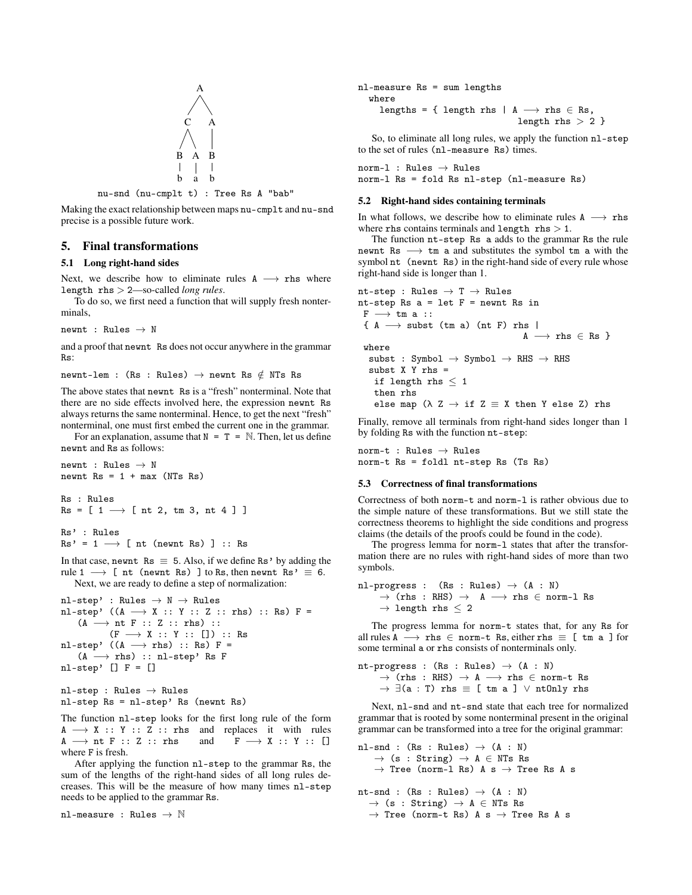

nu-snd (nu-cmplt t) : Tree Rs A "bab"

Making the exact relationship between maps nu-cmplt and nu-snd precise is a possible future work.

## 5. Final transformations

#### <span id="page-5-0"></span>5.1 Long right-hand sides

Next, we describe how to eliminate rules  $A \rightarrow$  rhs where length rhs > 2—so-called *long rules*.

To do so, we first need a function that will supply fresh nonterminals,

```
newnt : Rules \rightarrow N
```
and a proof that newnt Rs does not occur anywhere in the grammar Rs:

newnt-lem : (Rs : Rules)  $\rightarrow$  newnt Rs  $\notin$  NTs Rs

The above states that newnt Rs is a "fresh" nonterminal. Note that there are no side effects involved here, the expression newnt Rs always returns the same nonterminal. Hence, to get the next "fresh" nonterminal, one must first embed the current one in the grammar.

For an explanation, assume that  $N = T = N$ . Then, let us define newnt and Rs as follows:

```
newnt : Rules \rightarrow N
newnt Rs = 1 + max (NTs Rs)Rs : Rules
Rs = [ 1 \longrightarrow [ nt 2, tm 3, nt 4 ] ]
```

```
Rs' : Rules
Rs' = 1 \longrightarrow [nt (newnt Rs) ] :: Rs
```
In that case, newnt Rs  $\equiv$  5. Also, if we define Rs' by adding the rule 1  $\longrightarrow$  [ nt (newnt Rs) ] to Rs, then newnt Rs'  $\equiv$  6. Next, we are ready to define a step of normalization:

```
nl-step' : Rules \rightarrow N \rightarrow Rules
nl-step' ((A \rightarrow X :: Y :: Z :: rhs) :: Rs) F =(A \rightarrow nt \ F :: Z :: rhs) ::(\texttt{F}\longrightarrow \texttt{X}::\texttt{Y}::[]): \texttt{Rs}nl-step' ((A \rightarrow \text{rhs}) :: Rs) F =
    (A \longrightarrowrhs) :: nl-step' Rs F
nl-step' [] F = []nl-step : Rules \rightarrow Rules
```

```
nl-step Rs = nl-step' Rs (newnt Rs)
```
The function nl-step looks for the first long rule of the form  $A \longrightarrow X :: Y :: Z :: \text{rhs}$  and replaces it with rules  $A \longrightarrow \text{nt } F :: Z :: \text{rhs}$  and  $F \longrightarrow X :: Y :: []$  $A \longrightarrow nt \ F :: Z :: rhs$  and where F is fresh.

After applying the function nl-step to the grammar Rs, the sum of the lengths of the right-hand sides of all long rules decreases. This will be the measure of how many times nl-step needs to be applied to the grammar Rs.

```
nl-measure : Rules \rightarrow \mathbb{N}
```

```
nl-measure Rs = sum lengths
  where
    lengths = { length rhs | A \rightarrow rhs \in Rs,
                                 length rhs > 2 }
```
So, to eliminate all long rules, we apply the function  $n1$ -step to the set of rules (nl-measure Rs) times.

 $norm-1$  : Rules  $\rightarrow$  Rules norm-l Rs = fold Rs nl-step (nl-measure Rs)

#### <span id="page-5-1"></span>5.2 Right-hand sides containing terminals

In what follows, we describe how to eliminate rules  $A \rightarrow$  rhs where rhs contains terminals and length  $r$ hs  $> 1$ .

The function nt-step Rs a adds to the grammar Rs the rule newnt Rs → tm a and substitutes the symbol tm a with the symbol nt (newnt Rs) in the right-hand side of every rule whose right-hand side is longer than 1.

```
nt-step : Rules \rightarrow T \rightarrow Rules
nt-step Rs a = let F = newnt Rs in
 F \longrightarrow \text{tm } a ::{A \longrightarrow subst (tm a) (nt F) rhs |
                                               A \rightarrow rhs \in Rs }
 where
   subst : Symbol \rightarrow Symbol \rightarrow RHS \rightarrow RHS
   subst X Y rhs =
    if length rhs \leq 1then rhs
    else map (\lambda Z \rightarrow \text{if } Z \equiv X \text{ then } Y \text{ else } Z) rhs
```
Finally, remove all terminals from right-hand sides longer than 1 by folding Rs with the function nt-step:

norm-t : Rules  $\rightarrow$  Rules norm-t Rs = foldl nt-step Rs (Ts Rs)

## 5.3 Correctness of final transformations

Correctness of both norm-t and norm-l is rather obvious due to the simple nature of these transformations. But we still state the correctness theorems to highlight the side conditions and progress claims (the details of the proofs could be found in the code).

The progress lemma for norm-l states that after the transformation there are no rules with right-hand sides of more than two symbols.

$$
\begin{array}{lcl} \texttt{nl-progress}: & (\texttt{Rs}: \texttt{Rules}) \rightarrow (\texttt{A}: \texttt{N}) \\ & \rightarrow (\texttt{rhs}: \texttt{RHS}) \rightarrow \texttt{A} \rightarrow \texttt{rhs} \in \texttt{norm-1} \texttt{Rs} \\ & \rightarrow \texttt{length} \texttt{rhs} \leq 2 \end{array}
$$

The progress lemma for norm-t states that, for any Rs for all rules A  $\rightarrow$  rhs  $\in$  norm-t Rs, either rhs  $\equiv$  [ tm a ] for some terminal a or rhs consists of nonterminals only.

```
nt-progress : (Rs : Rules) \rightarrow (A : N)\rightarrow (rhs : RHS) \rightarrow A \rightarrow rhs \in norm-t Rs
      \rightarrow \exists(a : T) rhs \equiv [ tm a ] \vee nt0nly rhs
```
Next, nl-snd and nt-snd state that each tree for normalized grammar that is rooted by some nonterminal present in the original grammar can be transformed into a tree for the original grammar:

```
nl-snd : (Rs : Rules) \rightarrow (A : N)\rightarrow (s : String) \rightarrow A \in NTs Rs
    \rightarrow Tree (norm-1 Rs) A s \rightarrow Tree Rs A s
```

```
nt-snd : (Rs : Rules) \rightarrow (A : N)\rightarrow (s : String) \rightarrow A \in NTs Rs
```

```
\rightarrow Tree (norm-t Rs) A s \rightarrow Tree Rs A s
```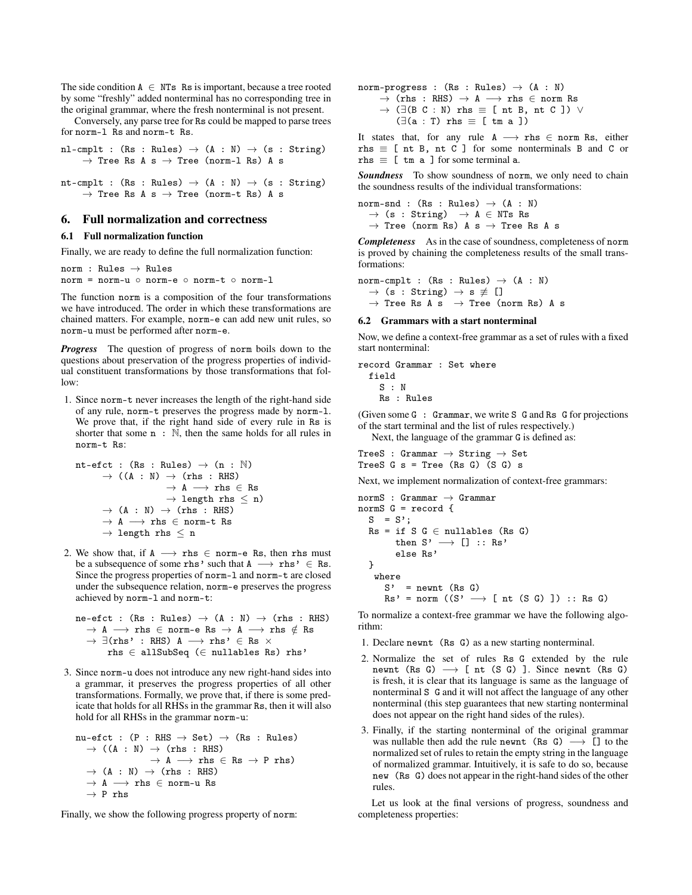The side condition  $A \in NTS$  Rs is important, because a tree rooted by some "freshly" added nonterminal has no corresponding tree in the original grammar, where the fresh nonterminal is not present.

Conversely, any parse tree for Rs could be mapped to parse trees for norm-l Rs and norm-t Rs.

$$
\begin{array}{l} \n\texttt{nl-cmplt : (Rs : Rules)} \rightarrow (\texttt{A : N}) \rightarrow (\texttt{s : String}) \\ \n\rightarrow \texttt{Tree Rs A s} \rightarrow \texttt{Tree (norm-1 Rs) A s} \\ \n\texttt{nt-cmplt : (Rs : Rules)} \rightarrow (\texttt{A : N}) \rightarrow (\texttt{s : String}) \n\end{array}
$$

## $\rightarrow$  Tree Rs A s  $\rightarrow$  Tree (norm-t Rs) A s

## <span id="page-6-0"></span>6. Full normalization and correctness

## 6.1 Full normalization function

Finally, we are ready to define the full normalization function:

```
norm : Rules \rightarrow Rules
norm = norm-u ◦ norm-e ◦ norm-t ◦ norm-l
```
The function norm is a composition of the four transformations we have introduced. The order in which these transformations are chained matters. For example, norm-e can add new unit rules, so norm-u must be performed after norm-e.

*Progress* The question of progress of norm boils down to the questions about preservation of the progress properties of individual constituent transformations by those transformations that fol $low$ 

1. Since norm-t never increases the length of the right-hand side of any rule, norm-t preserves the progress made by norm-l. We prove that, if the right hand side of every rule in Rs is shorter that some  $n : \mathbb{N}$ , then the same holds for all rules in norm-t Rs:

$$
\begin{array}{lcl} \texttt{nt-efct} &: (\texttt{Rs} : \texttt{Rules}) \rightarrow (\texttt{n} : \texttt{N}) \\ & \rightarrow ((\texttt{A} : \texttt{N}) \rightarrow (\texttt{rhs} : \texttt{RHS}) \\ & \rightarrow \texttt{A} \rightarrow \texttt{rhs} \in \texttt{Rs} \\ & \rightarrow \texttt{length} \texttt{rhs} \leq \texttt{n}) \\ & \rightarrow (\texttt{A} : \texttt{N}) \rightarrow (\texttt{rhs} : \texttt{RHS}) \\ & \rightarrow \texttt{A} \rightarrow \texttt{rhs} \in \texttt{norm-t} \texttt{Rs} \\ & \rightarrow \texttt{length} \texttt{rhs} \leq \texttt{n} \end{array}
$$

2. We show that, if  $A \longrightarrow r$ hs  $\in$  norm-e Rs, then rhs must be a subsequence of some rhs' such that  $A \rightarrow \text{rhs'} \in \text{Rs}.$ Since the progress properties of norm-l and norm-t are closed under the subsequence relation, norm-e preserves the progress achieved by norm-l and norm-t:

```
ne\text{-}etc: (Rs : Rules) \rightarrow (A : N) \rightarrow (rhs : RHS)
   \rightarrow A \rightarrow rhs \in norm-e Rs \rightarrow A \rightarrow rhs \notin Rs
   \rightarrow \exists(rhs': RHS) A \rightarrow rhs' \in Rs \timesrhs ∈ allSubSeq (∈ nullables Rs) rhs'
```
3. Since norm-u does not introduce any new right-hand sides into a grammar, it preserves the progress properties of all other transformations. Formally, we prove that, if there is some predicate that holds for all RHSs in the grammar Rs, then it will also hold for all RHSs in the grammar norm-u:

$$
\begin{array}{lcl} \texttt{nu-efct} &: (P : \texttt{RHS} \rightarrow \texttt{Set}) \rightarrow (\texttt{Rs} : \texttt{Rules}) \\ & \rightarrow ((A : N) \rightarrow (\texttt{rhs} : \texttt{RHS}) \\ & \rightarrow A \longrightarrow \texttt{rhs} \in \texttt{Rs} \rightarrow \texttt{P} \texttt{rhs}) \\ & \rightarrow (A : N) \rightarrow (\texttt{rhs} : \texttt{RHS}) \\ & \rightarrow A \longrightarrow \texttt{rhs} \in \texttt{norm-u} \text{ Rs} \\ & \rightarrow \texttt{P} \texttt{rhs} \end{array}
$$

Finally, we show the following progress property of norm:

norm-progress :  $(Rs : Rules) \rightarrow (A : N)$  $\rightarrow$  (rhs : RHS)  $\rightarrow$  A  $\rightarrow$  rhs  $\in$  norm Rs  $\rightarrow$  ( $\exists$ (B C : N) rhs  $\equiv$  [ nt B, nt C ])  $\vee$  $(\exists(a : T)$  rhs  $\equiv$  [ tm a ])

It states that, for any rule  $A \rightarrow \text{rhs} \in \text{norm}$  Rs, either rhs  $\equiv$  [ nt B, nt C ] for some nonterminals B and C or rhs  $\equiv$  [ tm a ] for some terminal a.

*Soundness* To show soundness of norm, we only need to chain the soundness results of the individual transformations:

 $norm-snd: (Rs: Rules) \rightarrow (A: N)$  $\rightarrow$  (s : String)  $\rightarrow$  A  $\in$  NTs Rs  $\rightarrow$  Tree (norm Rs) A s  $\rightarrow$  Tree Rs A s

*Completeness* As in the case of soundness, completeness of norm is proved by chaining the completeness results of the small transformations:

 $norm-cmplt : (Rs : Rules) \rightarrow (A : N)$  $\rightarrow$  (s : String)  $\rightarrow$  s  $\neq$  []  $\rightarrow$  Tree Rs A s  $\rightarrow$  Tree (norm Rs) A s

#### <span id="page-6-1"></span>6.2 Grammars with a start nonterminal

Now, we define a context-free grammar as a set of rules with a fixed start nonterminal:

record Grammar : Set where field

```
S : N
Rs : Rules
```
(Given some G : Grammar, we write S G and Rs G for projections of the start terminal and the list of rules respectively.)

Next, the language of the grammar G is defined as:

TreeS : Grammar  $\rightarrow$  String  $\rightarrow$  Set TreeS  $G$  s = Tree  $(Rs G)$   $(S G)$  s

Next, we implement normalization of context-free grammars:

```
normS : Grammar \rightarrow Grammar
normS G = record {
  S = S';
  Rs = if S G \in nullables (Rs G)then S' \longrightarrow [] :: \text{Rs'}else Rs'
  }
   where
      S' = newnt (Rs G)
      Rs' = norm ((S' \rightarrow [nt (S G) ]):: Rs G)
```
To normalize a context-free grammar we have the following algorithm:

- 1. Declare newnt (Rs G) as a new starting nonterminal.
- 2. Normalize the set of rules Rs G extended by the rule newnt (Rs G)  $\longrightarrow$  [ nt (S G) ]. Since newnt (Rs G) is fresh, it is clear that its language is same as the language of nonterminal S G and it will not affect the language of any other nonterminal (this step guarantees that new starting nonterminal does not appear on the right hand sides of the rules).
- 3. Finally, if the starting nonterminal of the original grammar was nullable then add the rule newnt (Rs G)  $\rightarrow$  [] to the normalized set of rules to retain the empty string in the language of normalized grammar. Intuitively, it is safe to do so, because new (Rs G) does not appear in the right-hand sides of the other rules.

Let us look at the final versions of progress, soundness and completeness properties: